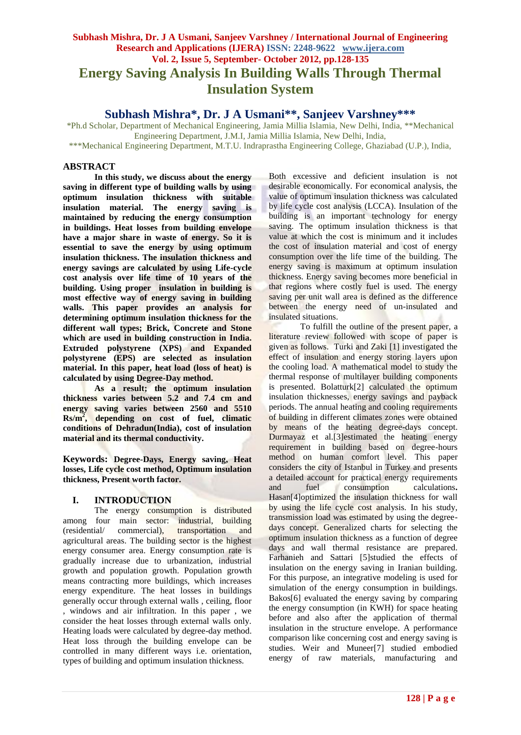# **Subhash Mishra, Dr. J A Usmani, Sanjeev Varshney / International Journal of Engineering Research and Applications (IJERA) ISSN: 2248-9622 www.ijera.com Vol. 2, Issue 5, September- October 2012, pp.128-135 Energy Saving Analysis In Building Walls Through Thermal Insulation System**

**Subhash Mishra\*, Dr. J A Usmani\*\*, Sanjeev Varshney\*\*\***

\*Ph.d Scholar, Department of Mechanical Engineering, Jamia Millia Islamia, New Delhi, India, \*\*Mechanical Engineering Department, J.M.I, Jamia Millia Islamia, New Delhi, India, \*\*\*Mechanical Engineering Department, M.T.U. Indraprastha Engineering College, Ghaziabad (U.P.), India,

## **ABSTRACT**

**In this study, we discuss about the energy saving in different type of building walls by using optimum insulation thickness with suitable insulation material. The energy saving is maintained by reducing the energy consumption in buildings. Heat losses from building envelope have a major share in waste of energy. So it is essential to save the energy by using optimum insulation thickness. The insulation thickness and energy savings are calculated by using Life-cycle cost analysis over life time of 10 years of the building. Using proper insulation in building is most effective way of energy saving in building walls. This paper provides an analysis for determining optimum insulation thickness for the different wall types; Brick, Concrete and Stone which are used in building construction in India. Extruded polystyrene (XPS) and Expanded polystyrene (EPS) are selected as insulation material. In this paper, heat load (loss of heat) is calculated by using Degree-Day method.**

**As a result; the optimum insulation thickness varies between 5.2 and 7.4 cm and energy saving varies between 2560 and 5510 Rs/m<sup>2</sup> , depending on cost of fuel, climatic conditions of Dehradun(India), cost of insulation material and its thermal conductivity.**

**Keywords: Degree-Days, Energy saving, Heat losses, Life cycle cost method, Optimum insulation thickness, Present worth factor.**

## **I. INTRODUCTION**

The energy consumption is distributed among four main sector: industrial, building<br>(residential/ commercial), transportation and (residential/ commercial), transportation and agricultural areas. The building sector is the highest energy consumer area. Energy consumption rate is gradually increase due to urbanization, industrial growth and population growth. Population growth means contracting more buildings, which increases energy expenditure. The heat losses in buildings generally occur through external walls , ceiling, floor , windows and air infiltration. In this paper , we consider the heat losses through external walls only. Heating loads were calculated by degree-day method. Heat loss through the building envelope can be controlled in many different ways i.e. orientation, types of building and optimum insulation thickness.

Both excessive and deficient insulation is not desirable economically. For economical analysis, the value of optimum insulation thickness was calculated by life cycle cost analysis (LCCA). Insulation of the building is an important technology for energy saving. The optimum insulation thickness is that value at which the cost is minimum and it includes the cost of insulation material and cost of energy consumption over the life time of the building. The energy saving is maximum at optimum insulation thickness. Energy saving becomes more beneficial in that regions where costly fuel is used. The energy saving per unit wall area is defined as the difference between the energy need of un-insulated and insulated situations.

To fulfill the outline of the present paper, a literature review followed with scope of paper is given as follows. Turki and Zaki [1] investigated the effect of insulation and energy storing layers upon the cooling load. A mathematical model to study the thermal response of multilayer building components is presented. Bolatturk[2] calculated the optimum insulation thicknesses, energy savings and payback periods. The annual heating and cooling requirements of building in different climates zones were obtained by means of the heating degree-days concept. Durmayaz et al.[3]estimated the heating energy requirement in building based on degree-hours method on human comfort level. This paper considers the city of Istanbul in Turkey and presents a detailed account for practical energy requirements and fuel consumption calculations**.**  Hasan[4]optimized the insulation thickness for wall by using the life cycle cost analysis. In his study, transmission load was estimated by using the degreedays concept. Generalized charts for selecting the optimum insulation thickness as a function of degree days and wall thermal resistance are prepared. Farhanieh and Sattari [5]studied the effects of insulation on the energy saving in Iranian building. For this purpose, an integrative modeling is used for simulation of the energy consumption in buildings. Bakos[6] evaluated the energy saving by comparing the energy consumption (in KWH) for space heating before and also after the application of thermal insulation in the structure envelope. A performance comparison like concerning cost and energy saving is studies. Weir and Muneer[7] studied embodied energy of raw materials, manufacturing and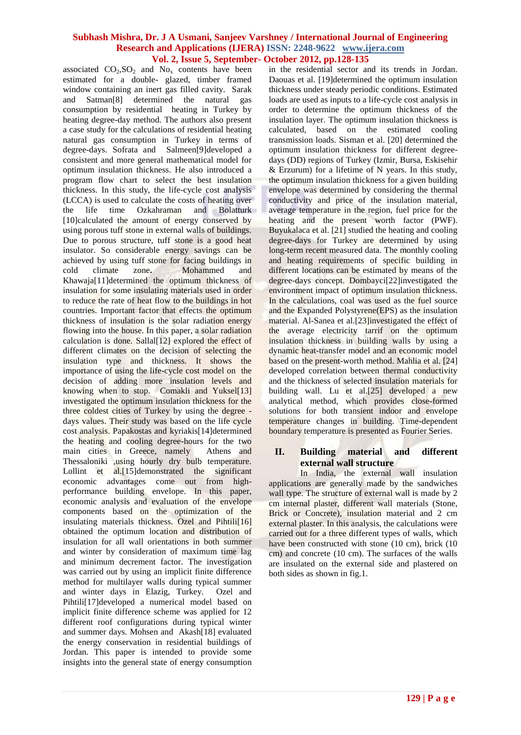associated  $CO_2$ ,  $SO_2$  and  $No_x$  contents have been estimated for a double- glazed, timber framed window containing an inert gas filled cavity.Sarak and Satman[8] determined the natural gas consumption by residential heating in Turkey by heating degree-day method. The authors also present a case study for the calculations of residential heating natural gas consumption in Turkey in terms of degree-days. Sofrata and Salmeen[9]developed a consistent and more general mathematical model for optimum insulation thickness. He also introduced a program flow chart to select the best insulation thickness. In this study, the life-cycle cost analysis (LCCA) is used to calculate the costs of heating over the life time Ozkahraman and Bolatturk [10]calculated the amount of energy conserved by using porous tuff stone in external walls of buildings. Due to porous structure, tuff stone is a good heat insulator. So considerable energy savings can be achieved by using tuff stone for facing buildings in cold climate zone**.** Mohammed and Khawaja[11]determined the optimum thickness of insulation for some insulating materials used in order to reduce the rate of heat flow to the buildings in hot countries. Important factor that effects the optimum thickness of insulation is the solar radiation energy flowing into the house. In this paper, a solar radiation calculation is done. Sallal[12] explored the effect of different climates on the decision of selecting the insulation type and thickness. It shows the importance of using the life-cycle cost model on the decision of adding more insulation levels and knowing when to stop. Comakli and Yuksel<sup>[13]</sup> investigated the optimum insulation thickness for the three coldest cities of Turkey by using the degree days values. Their study was based on the life cycle cost analysis. Papakostas and kyriakis[14]determined the heating and cooling degree-hours for the two main cities in Greece, namely Athens and Thessaloniki ,using hourly dry bulb temperature. Lollint et al.<sup>[15]</sup>demonstrated the significant economic advantages come out from highperformance building envelope. In this paper, economic analysis and evaluation of the envelope components based on the optimization of the insulating materials thickness. Ozel and Pihtili[16] obtained the optimum location and distribution of insulation for all wall orientations in both summer and winter by consideration of maximum time lag and minimum decrement factor. The investigation was carried out by using an implicit finite difference method for multilayer walls during typical summer and winter days in Elazig, Turkey. Ozel and Pihtili[17]developed a numerical model based on implicit finite difference scheme was applied for 12 different roof configurations during typical winter and summer days. Mohsen and Akash[18] evaluated the energy conservation in residential buildings of Jordan. This paper is intended to provide some insights into the general state of energy consumption

in the residential sector and its trends in Jordan. Daouas et al. [19]determined the optimum insulation thickness under steady periodic conditions. Estimated loads are used as inputs to a life-cycle cost analysis in order to determine the optimum thickness of the insulation layer. The optimum insulation thickness is calculated, based on the estimated cooling transmission loads. Sisman et al. [20] determined the optimum insulation thickness for different degreedays (DD) regions of Turkey (Izmir, Bursa, Eskisehir & Erzurum) for a lifetime of N years. In this study, the optimum insulation thickness for a given building envelope was determined by considering the thermal conductivity and price of the insulation material, average temperature in the region, fuel price for the heating and the present worth factor (PWF). Buyukalaca et al. [21] studied the heating and cooling degree-days for Turkey are determined by using long-term recent measured data. The monthly cooling and heating requirements of specific building in different locations can be estimated by means of the degree-days concept. Dombayci<sup>[22]</sup>investigated the environment impact of optimum insulation thickness. In the calculations, coal was used as the fuel source and the Expanded Polystyrene(EPS) as the insulation material. Al-Sanea et al.[23]investigated the effect of the average electricity tarrif on the optimum insulation thickness in building walls by using a dynamic heat-transfer model and an economic model based on the present-worth method. Mahlia et al. [24] developed correlation between thermal conductivity and the thickness of selected insulation materials for building wall. Lu et al.<sup>[25]</sup> developed a new analytical method, which provides close-formed solutions for both transient indoor and envelope temperature changes in building. Time-dependent boundary temperature is presented as Fourier Series.

## **II. Building material and different external wall structure**

In India, the external wall insulation applications are generally made by the sandwiches wall type. The structure of external wall is made by 2 cm internal plaster, different wall materials (Stone, Brick or Concrete), insulation material and 2 cm external plaster. In this analysis, the calculations were carried out for a three different types of walls, which have been constructed with stone (10 cm), brick (10 cm) and concrete (10 cm). The surfaces of the walls are insulated on the external side and plastered on both sides as shown in fig.1.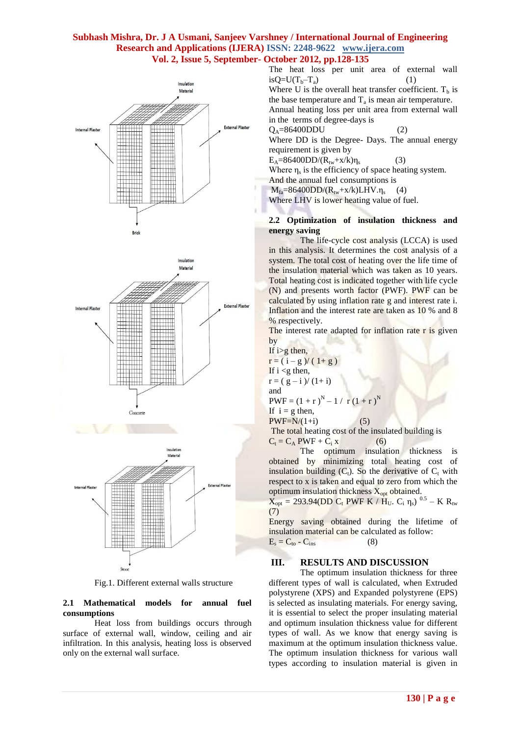





Fig.1. Different external walls structure

## **2.1 Mathematical models for annual fuel consumptions**

Heat loss from buildings occurs through surface of external wall, window, ceiling and air infiltration. In this analysis, heating loss is observed only on the external wall surface.

The heat loss per unit area of external wall  $isQ=U(T_b-T_a)$  (1) Where U is the overall heat transfer coefficient.  $T<sub>b</sub>$  is the base temperature and  $T_a$  is mean air temperature. Annual heating loss per unit area from external wall in the terms of degree-days is  $Q_A = 86400$ DDU (2) Where DD is the Degree- Days. The annual energy

requirement is given by (3)

 $E_A=86400DD/(R_{tw}+x/k)\eta_s$ 

Where  $\eta_s$  is the efficiency of space heating system.

And the annual fuel consumptions is

 $M_{fa} = 86400DD/(R_{tw} + x/k)LHV.\eta_s$  (4)

Where LHV is lower heating value of fuel.

#### **2.2 Optimization of insulation thickness and energy saving**

The life-cycle cost analysis (LCCA) is used in this analysis. It determines the cost analysis of a system. The total cost of heating over the life time of the insulation material which was taken as 10 years. Total heating cost is indicated together with life cycle (N) and presents worth factor (PWF). PWF can be calculated by using inflation rate g and interest rate i. Inflation and the interest rate are taken as 10 % and 8 % respectively.

The interest rate adapted for inflation rate r is given by

If  $i>g$  then,  $r = (i - g)/(1 + g)$ If  $i < g$  then,  $r = (g - i)/(1 + i)$ and  $PWF = (1 + r)^{N} - 1 / r (1 + r)^{N}$ If  $i = g$  then,  $PWF=N/(1+i)$  (5) The total heating cost of the insulated building is

 $C_t = C_A PWF + C_i x$  (6) The optimum insulation thickness is obtained by minimizing total heating cost of insulation building  $(C_t)$ . So the derivative of  $C_t$  with respect to x is taken and equal to zero from which the optimum insulation thickness  $X_{opt}$  obtained.

 $\overline{X}_{opt} = 293.94(DD \ C_t \ PWF \ K / \ H_U \ C_i \ \eta_s)^{-0.5} - K \ R_{tw}$ (7)

Energy saving obtained during the lifetime of insulation material can be calculated as follow:  $E_s = C_{to} - C_{ins}$  (8)

#### **III. RESULTS AND DISCUSSION**

The optimum insulation thickness for three different types of wall is calculated, when Extruded polystyrene (XPS) and Expanded polystyrene (EPS) is selected as insulating materials. For energy saving, it is essential to select the proper insulating material and optimum insulation thickness value for different types of wall. As we know that energy saving is maximum at the optimum insulation thickness value. The optimum insulation thickness for various wall types according to insulation material is given in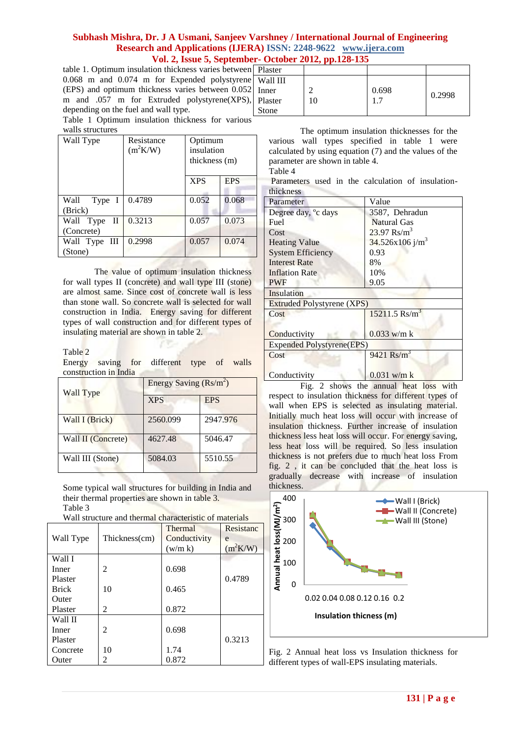table 1. Optimum insulation thickness varies between 0.068 m and 0.074 m for Expended polystyrene (EPS) and optimum thickness varies between 0.052 m and .057 m for Extruded polystyrene(XPS), depending on the fuel and wall type.

Table 1 Optimum insulation thickness for various walls structures

| Wall Type                    | Resistance<br>$(m^2K/W)$ | Optimum<br>insulation<br>thickness (m) |            |
|------------------------------|--------------------------|----------------------------------------|------------|
|                              |                          | <b>XPS</b>                             | <b>EPS</b> |
| Wall Type I<br>(Brick)       | 0.4789                   | 0.052                                  | 0.068      |
| Wall Type<br>П<br>(Concrete) | 0.3213                   | 0.057                                  | 0.073      |
| Wall Type III<br>(Stone)     | 0.2998                   | 0.057                                  | 0.074      |

The value of optimum insulation thickness for wall types II (concrete) and wall type III (stone) are almost same. Since cost of concrete wall is less than stone wall. So concrete wall is selected for wall construction in India. Energy saving for different types of wall construction and for different types of insulating material are shown in table 2.

Table 2

Energy saving for different type of walls construction in India

| Wall Type          | Energy Saving $(Rs/m^2)$ |            |  |
|--------------------|--------------------------|------------|--|
|                    | <b>XPS</b>               | <b>EPS</b> |  |
| Wall I (Brick)     | 2560.099                 | 2947.976   |  |
| Wall II (Concrete) | 4627.48                  | 5046.47    |  |
| Wall III (Stone)   | 5084.03                  | 5510.55    |  |

Some typical wall structures for building in India and their thermal properties are shown in table 3. Table 3

Wall structure and thermal characteristic of materials

|              |                | Thermal      | Resistanc  |
|--------------|----------------|--------------|------------|
| Wall Type    | Thickness(cm)  | Conductivity | e          |
|              |                | (w/m k)      | $(m^2K/W)$ |
| Wall I       |                |              |            |
| Inner        | 2              | 0.698        |            |
| Plaster      |                |              | 0.4789     |
| <b>Brick</b> | 10             | 0.465        |            |
| Outer        |                |              |            |
| Plaster      | $\mathfrak{D}$ | 0.872        |            |
| Wall II      |                |              |            |
| Inner        | 2              | 0.698        |            |
| Plaster      |                |              | 0.3213     |
| Concrete     | 10             | 1.74         |            |
| Outer        | 2              | 0.872        |            |

| ıl | Plaster  |   |       |        |
|----|----------|---|-------|--------|
| اڊ | Wall III |   |       |        |
|    | Inner    |   | 0.698 |        |
|    | Plaster  | 0 |       | 0.2998 |
|    | Stone    |   |       |        |
|    |          |   |       |        |

The optimum insulation thicknesses for the various wall types specified in table 1 were calculated by using equation (7) and the values of the parameter are shown in table 4. Table 4

Parameters used in the calculation of insulationthickness

| Parameter                         | Value                       |  |
|-----------------------------------|-----------------------------|--|
| Degree day, <sup>o</sup> c days   | 3587, Dehradun              |  |
| <b>Fuel</b>                       | <b>Natural Gas</b>          |  |
| Cost                              | $23.97$ Rs/m <sup>3</sup>   |  |
| <b>Heating Value</b>              | 34.526x106 j/m <sup>3</sup> |  |
| <b>System Efficiency</b>          | 0.93                        |  |
| <b>Interest Rate</b>              | 8%                          |  |
| <b>Inflation Rate</b>             | 10%                         |  |
| <b>PWF</b>                        | 9.05                        |  |
| Insulation                        |                             |  |
| <b>Extruded Polystyrene (XPS)</b> |                             |  |
| Cost                              | $15211.5$ Rs/m <sup>3</sup> |  |
|                                   |                             |  |
| Conductivity                      | $0.033$ w/m k               |  |
| <b>Expended Polystyrene(EPS)</b>  |                             |  |
| Cost                              | $9421$ Rs/m <sup>3</sup>    |  |
|                                   |                             |  |
| Conductivity                      | $0.031$ w/m k               |  |

Fig. 2 shows the annual heat loss with respect to insulation thickness for different types of wall when EPS is selected as insulating material. Initially much heat loss will occur with increase of insulation thickness. Further increase of insulation thickness less heat loss will occur. For energy saving, less heat loss will be required. So less insulation thickness is not prefers due to much heat loss From fig. 2 , it can be concluded that the heat loss is gradually decrease with increase of insulation thickness.



Fig. 2 Annual heat loss vs Insulation thickness for different types of wall-EPS insulating materials.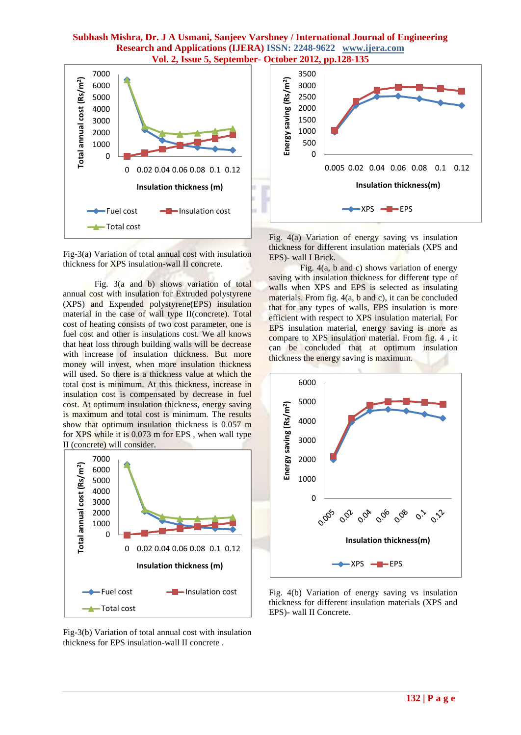

Fig-3(a) Variation of total annual cost with insulation thickness for XPS insulation-wall II concrete.

Fig. 3(a and b) shows variation of total annual cost with insulation for Extruded polystyrene (XPS) and Expended polystyrene(EPS) insulation material in the case of wall type II(concrete). Total cost of heating consists of two cost parameter, one is fuel cost and other is insulations cost. We all knows that heat loss through building walls will be decrease with increase of insulation thickness. But more money will invest, when more insulation thickness will used. So there is a thickness value at which the total cost is minimum. At this thickness, increase in insulation cost is compensated by decrease in fuel cost. At optimum insulation thickness, energy saving is maximum and total cost is minimum. The results show that optimum insulation thickness is 0.057 m for XPS while it is 0.073 m for EPS , when wall type II (concrete) will consider.



Fig-3(b) Variation of total annual cost with insulation thickness for EPS insulation-wall II concrete .



Fig. 4(a) Variation of energy saving vs insulation thickness for different insulation materials (XPS and EPS)- wall I Brick.

Fig. 4(a, b and c) shows variation of energy saving with insulation thickness for different type of walls when XPS and EPS is selected as insulating materials. From fig. 4(a, b and c), it can be concluded that for any types of walls, EPS insulation is more efficient with respect to XPS insulation material. For EPS insulation material, energy saving is more as compare to XPS insulation material. From fig. 4 , it can be concluded that at optimum insulation thickness the energy saving is maximum.



Fig. 4(b) Variation of energy saving vs insulation thickness for different insulation materials (XPS and EPS)- wall II Concrete.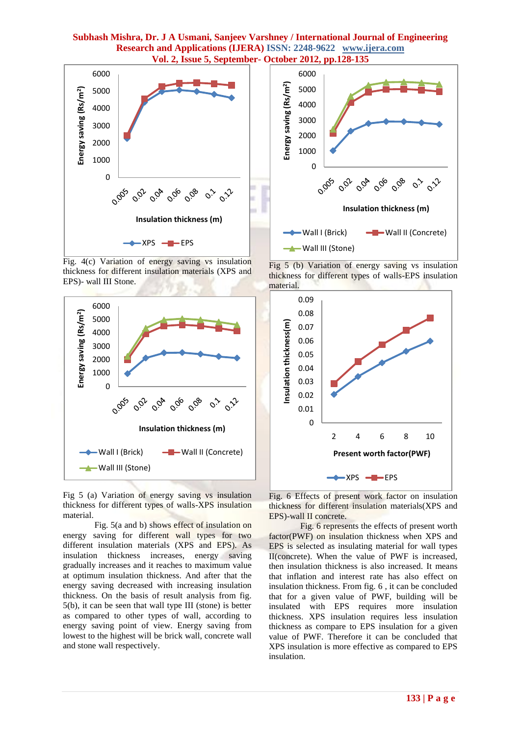

Fig. 4(c) Variation of energy saving vs insulation thickness for different insulation materials (XPS and EPS)- wall III Stone.



Fig 5 (a) Variation of energy saving vs insulation thickness for different types of walls-XPS insulation material.

Fig. 5(a and b) shows effect of insulation on energy saving for different wall types for two different insulation materials (XPS and EPS). As insulation thickness increases, energy saving gradually increases and it reaches to maximum value at optimum insulation thickness. And after that the energy saving decreased with increasing insulation thickness. On the basis of result analysis from fig. 5(b), it can be seen that wall type III (stone) is better as compared to other types of wall, according to energy saving point of view. Energy saving from lowest to the highest will be brick wall, concrete wall and stone wall respectively.



Fig 5 (b) Variation of energy saving vs insulation thickness for different types of walls-EPS insulation material.



Fig. 6 Effects of present work factor on insulation thickness for different insulation materials(XPS and EPS)-wall II concrete.

Fig. 6 represents the effects of present worth factor(PWF) on insulation thickness when XPS and EPS is selected as insulating material for wall types II(concrete). When the value of PWF is increased, then insulation thickness is also increased. It means that inflation and interest rate has also effect on insulation thickness. From fig. 6 , it can be concluded that for a given value of PWF, building will be insulated with EPS requires more insulation thickness. XPS insulation requires less insulation thickness as compare to EPS insulation for a given value of PWF. Therefore it can be concluded that XPS insulation is more effective as compared to EPS insulation.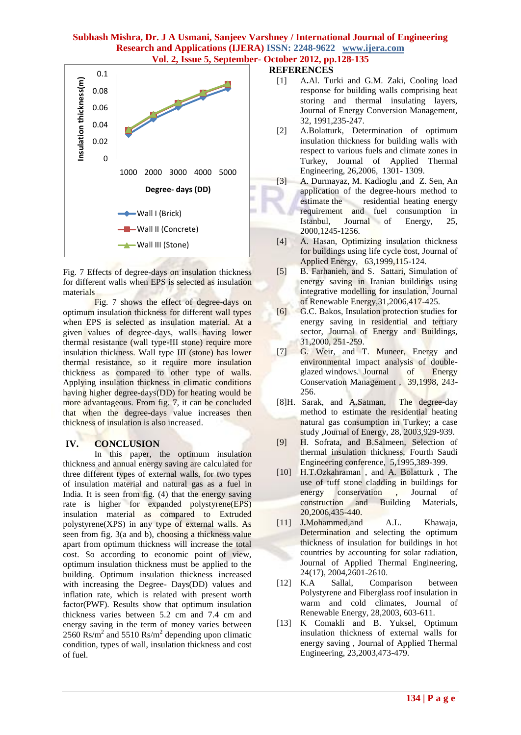

Fig. 7 Effects of degree-days on insulation thickness for different walls when EPS is selected as insulation materials

Fig. 7 shows the effect of degree-days on optimum insulation thickness for different wall types when EPS is selected as insulation material. At a given values of degree-days, walls having lower thermal resistance (wall type-III stone) require more insulation thickness. Wall type III (stone) has lower thermal resistance, so it require more insulation thickness as compared to other type of walls. Applying insulation thickness in climatic conditions having higher degree-days(DD) for heating would be more advantageous. From fig. 7, it can be concluded that when the degree-days value increases then thickness of insulation is also increased.

## **IV. CONCLUSION**

In this paper, the optimum insulation thickness and annual energy saving are calculated for three different types of external walls, for two types of insulation material and natural gas as a fuel in India. It is seen from fig. (4) that the energy saving rate is higher for expanded polystyrene(EPS) insulation material as compared to Extruded polystyrene(XPS) in any type of external walls. As seen from fig. 3(a and b), choosing a thickness value apart from optimum thickness will increase the total cost. So according to economic point of view, optimum insulation thickness must be applied to the building. Optimum insulation thickness increased with increasing the Degree- Days(DD) values and inflation rate, which is related with present worth factor(PWF). Results show that optimum insulation thickness varies between 5.2 cm and 7.4 cm and energy saving in the term of money varies between  $2560$  Rs/m<sup>2</sup> and  $5510$  Rs/m<sup>2</sup> depending upon climatic condition, types of wall, insulation thickness and cost of fuel.

## **REFERENCES**

- [1] A**.**Al. Turki and G.M. Zaki, Cooling load response for building walls comprising heat storing and thermal insulating layers, Journal of Energy Conversion Management, 32, 1991,235-247.
- [2] A.Bolatturk, Determination of optimum insulation thickness for building walls with respect to various fuels and climate zones in Turkey, Journal of Applied Thermal Engineering, 26,2006, 1301- 1309.
- [3] A. Durmayaz, M. Kadioglu ,and Z. Sen, An application of the degree-hours method to estimate the residential heating energy requirement and fuel consumption in Istanbul, Journal of Energy, 25, 2000,1245-1256.
- [4] A. Hasan, Optimizing insulation thickness for buildings using life cycle cost, Journal of Applied Energy, 63,1999,115-124.
- [5] B. Farhanieh, and S. Sattari, Simulation of energy saving in Iranian buildings using integrative modelling for insulation, Journal of Renewable Energy,31,2006,417-425.
- [6] G.C. Bakos, Insulation protection studies for energy saving in residential and tertiary sector, Journal of Energy and Buildings, 31,2000, 251-259.
- [7] G. Weir, and T. Muneer, Energy and environmental impact analysis of doubleglazed windows. Journal of Energy Conservation Management , 39,1998, 243- 256.
- [8]H. Sarak, and A.Satman, The degree-day method to estimate the residential heating natural gas consumption in Turkey; a case study ,Journal of Energy, 28, 2003,929-939.
- [9] H. Sofrata, and B.Salmeen, Selection of thermal insulation thickness, Fourth Saudi Engineering conference, 5,1995,389-399.
- [10] H.T.Ozkahraman , and A. Bolatturk , The use of tuff stone cladding in buildings for energy conservation , Journal of construction and Building Materials, 20,2006,435-440.
- [11] J**.**Mohammed,and A.L. Khawaja, Determination and selecting the optimum thickness of insulation for buildings in hot countries by accounting for solar radiation, Journal of Applied Thermal Engineering, 24(17), 2004,2601-2610.
- [12] K.A Sallal, Comparison between Polystyrene and Fiberglass roof insulation in warm and cold climates, Journal of Renewable Energy, 28,2003, 603-611.
- [13] K Comakli and B. Yuksel, Optimum insulation thickness of external walls for energy saving , Journal of Applied Thermal Engineering, 23,2003,473-479.